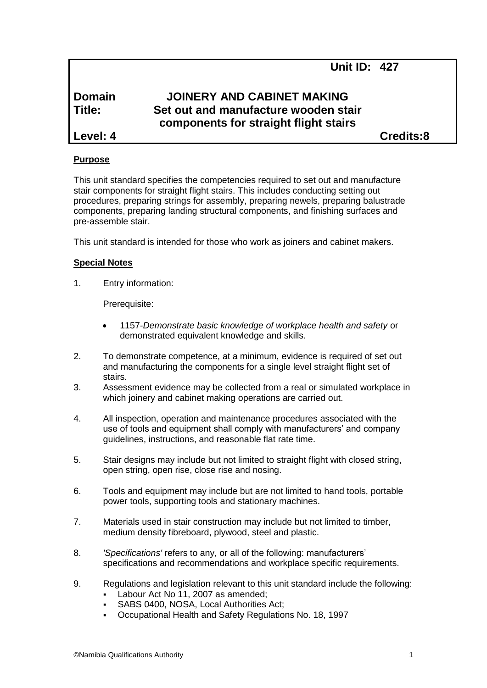**Unit ID: 427**

# **Domain JOINERY AND CABINET MAKING Title: Set out and manufacture wooden stair components for straight flight stairs**

**Level: 4 Credits:8**

## **Purpose**

This unit standard specifies the competencies required to set out and manufacture stair components for straight flight stairs. This includes conducting setting out procedures, preparing strings for assembly, preparing newels, preparing balustrade components, preparing landing structural components, and finishing surfaces and pre-assemble stair.

This unit standard is intended for those who work as joiners and cabinet makers.

## **Special Notes**

1. Entry information:

Prerequisite:

- 1157*-Demonstrate basic knowledge of workplace health and safety* or demonstrated equivalent knowledge and skills.
- 2. To demonstrate competence, at a minimum, evidence is required of set out and manufacturing the components for a single level straight flight set of stairs.
- 3. Assessment evidence may be collected from a real or simulated workplace in which joinery and cabinet making operations are carried out.
- 4. All inspection, operation and maintenance procedures associated with the use of tools and equipment shall comply with manufacturers' and company guidelines, instructions, and reasonable flat rate time.
- 5. Stair designs may include but not limited to straight flight with closed string, open string, open rise, close rise and nosing.
- 6. Tools and equipment may include but are not limited to hand tools, portable power tools, supporting tools and stationary machines.
- 7. Materials used in stair construction may include but not limited to timber, medium density fibreboard, plywood, steel and plastic.
- 8. *'Specifications'* refers to any, or all of the following: manufacturers' specifications and recommendations and workplace specific requirements.
- 9. Regulations and legislation relevant to this unit standard include the following:
	- Labour Act No 11, 2007 as amended;
	- SABS 0400, NOSA, Local Authorities Act;
	- Occupational Health and Safety Regulations No. 18, 1997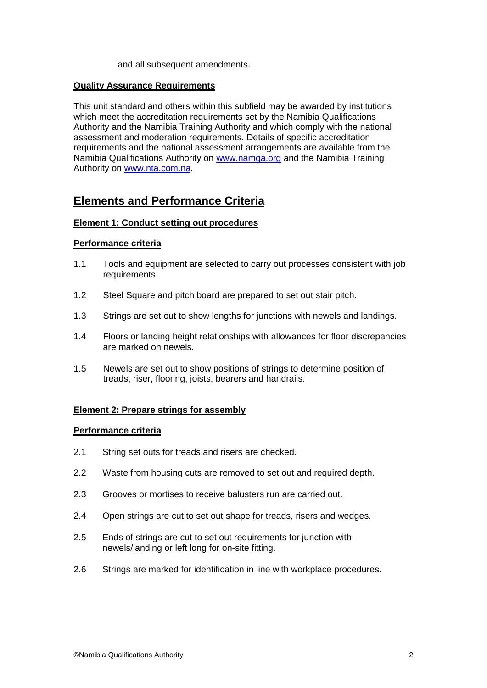#### and all subsequent amendments.

#### **Quality Assurance Requirements**

This unit standard and others within this subfield may be awarded by institutions which meet the accreditation requirements set by the Namibia Qualifications Authority and the Namibia Training Authority and which comply with the national assessment and moderation requirements. Details of specific accreditation requirements and the national assessment arrangements are available from the Namibia Qualifications Authority on [www.namqa.org](http://www.namqa.org/) and the Namibia Training Authority on [www.nta.com.na.](http://www.nta.com.na/)

## **Elements and Performance Criteria**

#### **Element 1: Conduct setting out procedures**

#### **Performance criteria**

- 1.1 Tools and equipment are selected to carry out processes consistent with job requirements.
- 1.2 Steel Square and pitch board are prepared to set out stair pitch.
- 1.3 Strings are set out to show lengths for junctions with newels and landings.
- 1.4 Floors or landing height relationships with allowances for floor discrepancies are marked on newels.
- 1.5 Newels are set out to show positions of strings to determine position of treads, riser, flooring, joists, bearers and handrails.

#### **Element 2: Prepare strings for assembly**

#### **Performance criteria**

- 2.1 String set outs for treads and risers are checked.
- 2.2 Waste from housing cuts are removed to set out and required depth.
- 2.3 Grooves or mortises to receive balusters run are carried out.
- 2.4 Open strings are cut to set out shape for treads, risers and wedges.
- 2.5 Ends of strings are cut to set out requirements for junction with newels/landing or left long for on-site fitting.
- 2.6 Strings are marked for identification in line with workplace procedures.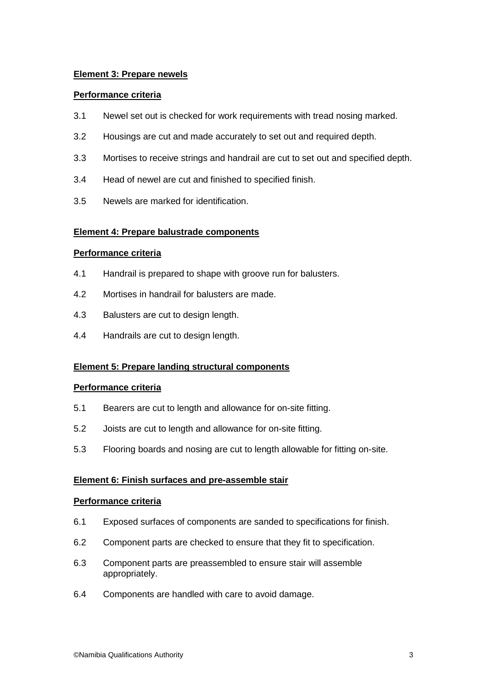## **Element 3: Prepare newels**

## **Performance criteria**

- 3.1 Newel set out is checked for work requirements with tread nosing marked.
- 3.2 Housings are cut and made accurately to set out and required depth.
- 3.3 Mortises to receive strings and handrail are cut to set out and specified depth.
- 3.4 Head of newel are cut and finished to specified finish.
- 3.5 Newels are marked for identification.

## **Element 4: Prepare balustrade components**

## **Performance criteria**

- 4.1 Handrail is prepared to shape with groove run for balusters.
- 4.2 Mortises in handrail for balusters are made.
- 4.3 Balusters are cut to design length.
- 4.4 Handrails are cut to design length.

## **Element 5: Prepare landing structural components**

## **Performance criteria**

- 5.1 Bearers are cut to length and allowance for on-site fitting.
- 5.2 Joists are cut to length and allowance for on-site fitting.
- 5.3 Flooring boards and nosing are cut to length allowable for fitting on-site.

## **Element 6: Finish surfaces and pre-assemble stair**

## **Performance criteria**

- 6.1 Exposed surfaces of components are sanded to specifications for finish.
- 6.2 Component parts are checked to ensure that they fit to specification.
- 6.3 Component parts are preassembled to ensure stair will assemble appropriately.
- 6.4 Components are handled with care to avoid damage.